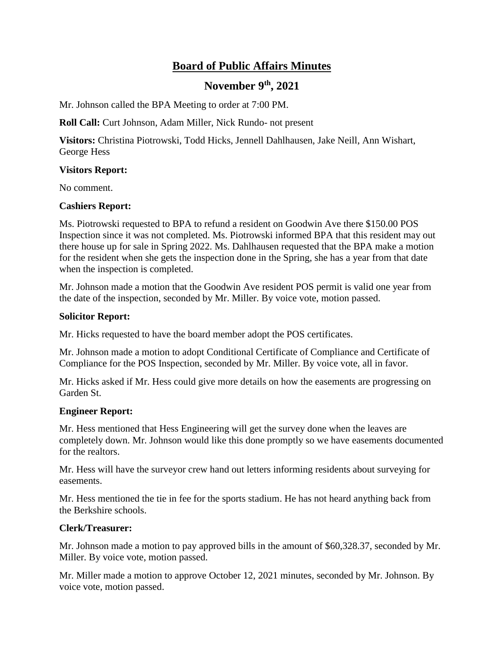# **Board of Public Affairs Minutes**

## **November 9th, 2021**

Mr. Johnson called the BPA Meeting to order at 7:00 PM.

**Roll Call:** Curt Johnson, Adam Miller, Nick Rundo- not present

**Visitors:** Christina Piotrowski, Todd Hicks, Jennell Dahlhausen, Jake Neill, Ann Wishart, George Hess

## **Visitors Report:**

No comment.

## **Cashiers Report:**

Ms. Piotrowski requested to BPA to refund a resident on Goodwin Ave there \$150.00 POS Inspection since it was not completed. Ms. Piotrowski informed BPA that this resident may out there house up for sale in Spring 2022. Ms. Dahlhausen requested that the BPA make a motion for the resident when she gets the inspection done in the Spring, she has a year from that date when the inspection is completed.

Mr. Johnson made a motion that the Goodwin Ave resident POS permit is valid one year from the date of the inspection, seconded by Mr. Miller. By voice vote, motion passed.

## **Solicitor Report:**

Mr. Hicks requested to have the board member adopt the POS certificates.

Mr. Johnson made a motion to adopt Conditional Certificate of Compliance and Certificate of Compliance for the POS Inspection, seconded by Mr. Miller. By voice vote, all in favor.

Mr. Hicks asked if Mr. Hess could give more details on how the easements are progressing on Garden St.

#### **Engineer Report:**

Mr. Hess mentioned that Hess Engineering will get the survey done when the leaves are completely down. Mr. Johnson would like this done promptly so we have easements documented for the realtors.

Mr. Hess will have the surveyor crew hand out letters informing residents about surveying for easements.

Mr. Hess mentioned the tie in fee for the sports stadium. He has not heard anything back from the Berkshire schools.

## **Clerk/Treasurer:**

Mr. Johnson made a motion to pay approved bills in the amount of \$60,328.37, seconded by Mr. Miller. By voice vote, motion passed.

Mr. Miller made a motion to approve October 12, 2021 minutes, seconded by Mr. Johnson. By voice vote, motion passed.